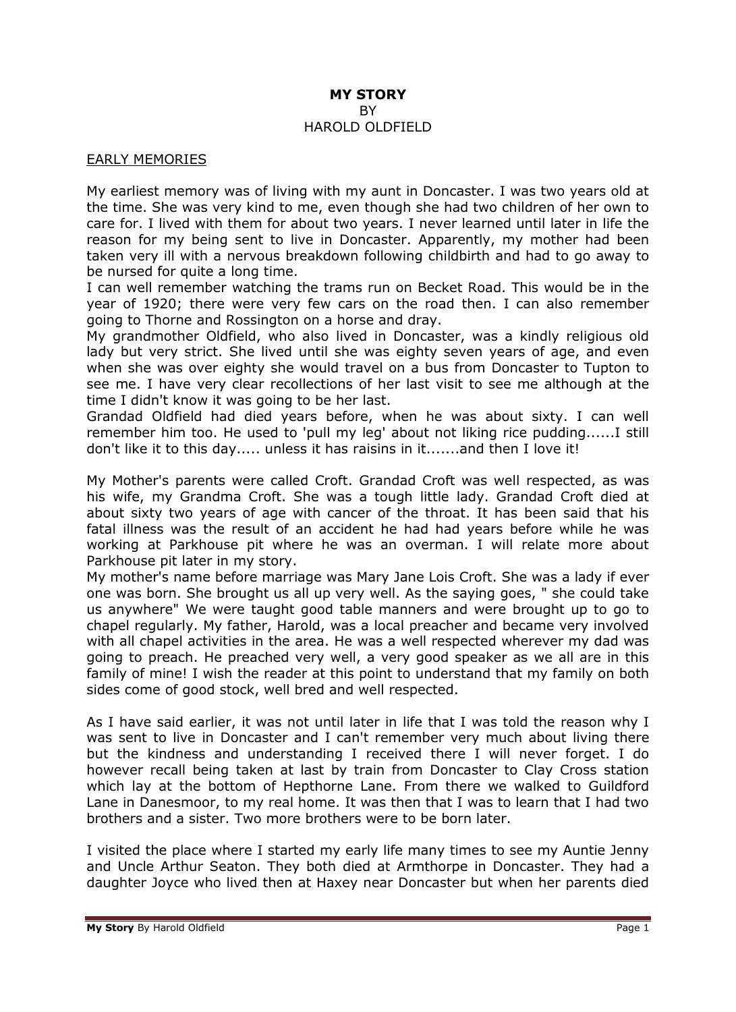#### **MY STORY** BY HAROLD OLDFIELD

#### EARLY MEMORIES

My earliest memory was of living with my aunt in Doncaster. I was two years old at the time. She was very kind to me, even though she had two children of her own to care for. I lived with them for about two years. I never learned until later in life the reason for my being sent to live in Doncaster. Apparently, my mother had been taken very ill with a nervous breakdown following childbirth and had to go away to be nursed for quite a long time.

I can well remember watching the trams run on Becket Road. This would be in the year of 1920; there were very few cars on the road then. I can also remember going to Thorne and Rossington on a horse and dray.

My grandmother Oldfield, who also lived in Doncaster, was a kindly religious old lady but very strict. She lived until she was eighty seven years of age, and even when she was over eighty she would travel on a bus from Doncaster to Tupton to see me. I have very clear recollections of her last visit to see me although at the time I didn't know it was going to be her last.

Grandad Oldfield had died years before, when he was about sixty. I can well remember him too. He used to 'pull my leg' about not liking rice pudding......I still don't like it to this day..... unless it has raisins in it.......and then I love it!

My Mother's parents were called Croft. Grandad Croft was well respected, as was his wife, my Grandma Croft. She was a tough little lady. Grandad Croft died at about sixty two years of age with cancer of the throat. It has been said that his fatal illness was the result of an accident he had had years before while he was working at Parkhouse pit where he was an overman. I will relate more about Parkhouse pit later in my story.

My mother's name before marriage was Mary Jane Lois Croft. She was a lady if ever one was born. She brought us all up very well. As the saying goes, " she could take us anywhere" We were taught good table manners and were brought up to go to chapel regularly. My father, Harold, was a local preacher and became very involved with all chapel activities in the area. He was a well respected wherever my dad was going to preach. He preached very well, a very good speaker as we all are in this family of mine! I wish the reader at this point to understand that my family on both sides come of good stock, well bred and well respected.

As I have said earlier, it was not until later in life that I was told the reason why I was sent to live in Doncaster and I can't remember very much about living there but the kindness and understanding I received there I will never forget. I do however recall being taken at last by train from Doncaster to Clay Cross station which lay at the bottom of Hepthorne Lane. From there we walked to Guildford Lane in Danesmoor, to my real home. It was then that I was to learn that I had two brothers and a sister. Two more brothers were to be born later.

I visited the place where I started my early life many times to see my Auntie Jenny and Uncle Arthur Seaton. They both died at Armthorpe in Doncaster. They had a daughter Joyce who lived then at Haxey near Doncaster but when her parents died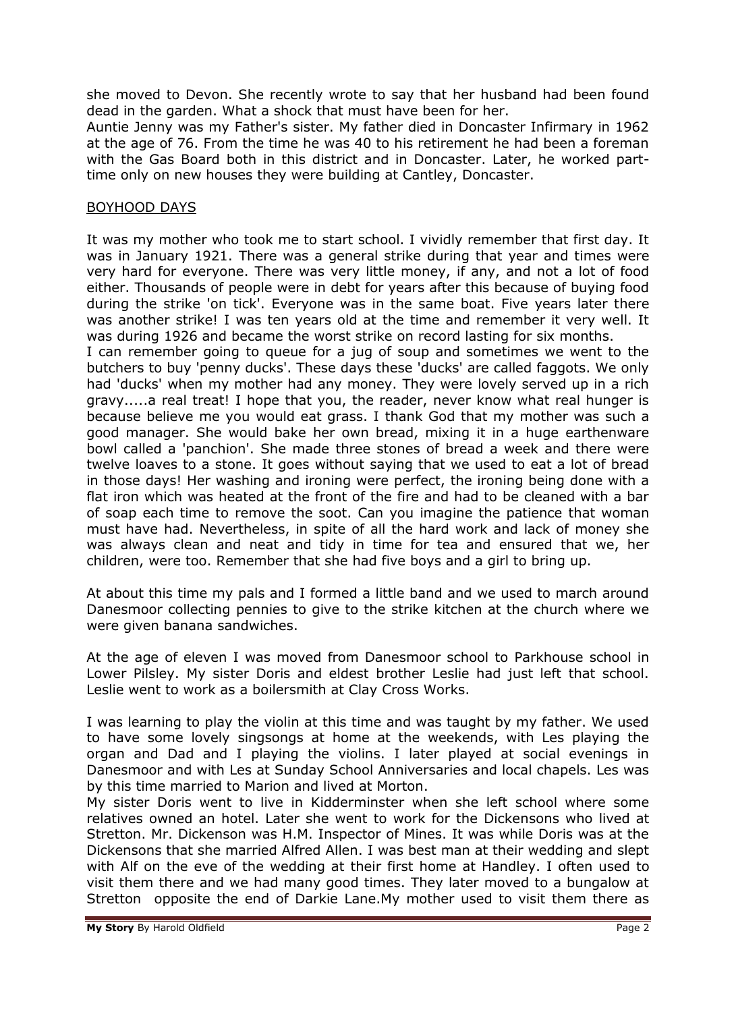she moved to Devon. She recently wrote to say that her husband had been found dead in the garden. What a shock that must have been for her.

Auntie Jenny was my Father's sister. My father died in Doncaster Infirmary in 1962 at the age of 76. From the time he was 40 to his retirement he had been a foreman with the Gas Board both in this district and in Doncaster. Later, he worked parttime only on new houses they were building at Cantley, Doncaster.

### BOYHOOD DAYS

It was my mother who took me to start school. I vividly remember that first day. It was in January 1921. There was a general strike during that year and times were very hard for everyone. There was very little money, if any, and not a lot of food either. Thousands of people were in debt for years after this because of buying food during the strike 'on tick'. Everyone was in the same boat. Five years later there was another strike! I was ten years old at the time and remember it very well. It was during 1926 and became the worst strike on record lasting for six months.

I can remember going to queue for a jug of soup and sometimes we went to the butchers to buy 'penny ducks'. These days these 'ducks' are called faggots. We only had 'ducks' when my mother had any money. They were lovely served up in a rich gravy.....a real treat! I hope that you, the reader, never know what real hunger is because believe me you would eat grass. I thank God that my mother was such a good manager. She would bake her own bread, mixing it in a huge earthenware bowl called a 'panchion'. She made three stones of bread a week and there were twelve loaves to a stone. It goes without saying that we used to eat a lot of bread in those days! Her washing and ironing were perfect, the ironing being done with a flat iron which was heated at the front of the fire and had to be cleaned with a bar of soap each time to remove the soot. Can you imagine the patience that woman must have had. Nevertheless, in spite of all the hard work and lack of money she was always clean and neat and tidy in time for tea and ensured that we, her children, were too. Remember that she had five boys and a girl to bring up.

At about this time my pals and I formed a little band and we used to march around Danesmoor collecting pennies to give to the strike kitchen at the church where we were given banana sandwiches.

At the age of eleven I was moved from Danesmoor school to Parkhouse school in Lower Pilsley. My sister Doris and eldest brother Leslie had just left that school. Leslie went to work as a boilersmith at Clay Cross Works.

I was learning to play the violin at this time and was taught by my father. We used to have some lovely singsongs at home at the weekends, with Les playing the organ and Dad and I playing the violins. I later played at social evenings in Danesmoor and with Les at Sunday School Anniversaries and local chapels. Les was by this time married to Marion and lived at Morton.

My sister Doris went to live in Kidderminster when she left school where some relatives owned an hotel. Later she went to work for the Dickensons who lived at Stretton. Mr. Dickenson was H.M. Inspector of Mines. It was while Doris was at the Dickensons that she married Alfred Allen. I was best man at their wedding and slept with Alf on the eve of the wedding at their first home at Handley. I often used to visit them there and we had many good times. They later moved to a bungalow at Stretton opposite the end of Darkie Lane.My mother used to visit them there as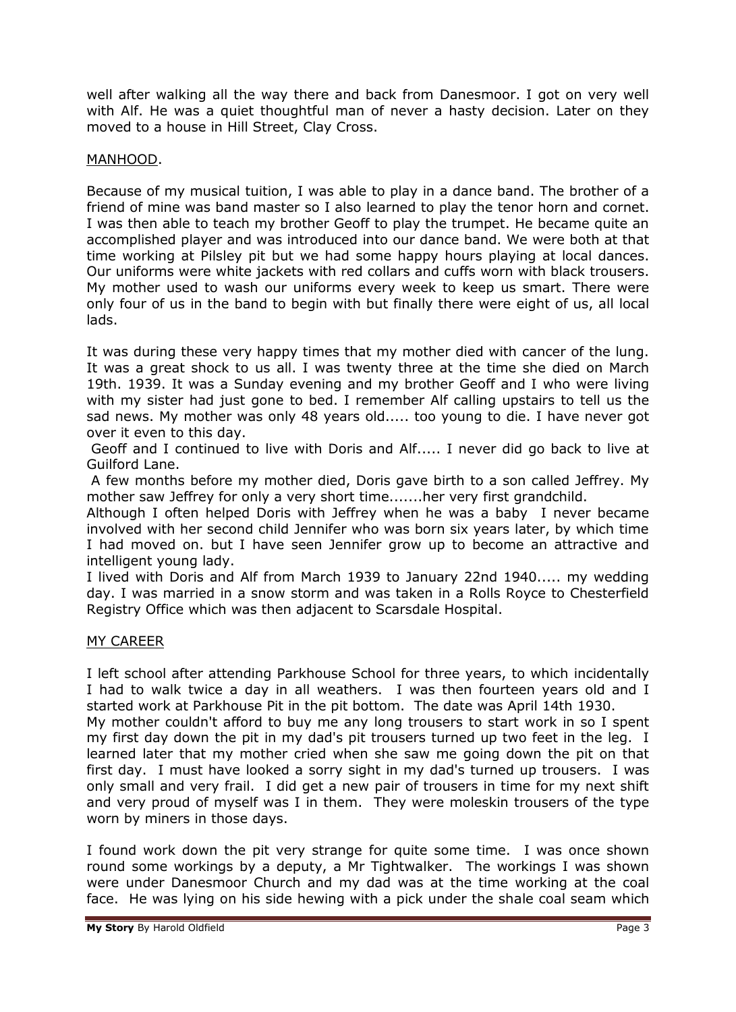well after walking all the way there and back from Danesmoor. I got on very well with Alf. He was a quiet thoughtful man of never a hasty decision. Later on they moved to a house in Hill Street, Clay Cross.

## MANHOOD.

Because of my musical tuition, I was able to play in a dance band. The brother of a friend of mine was band master so I also learned to play the tenor horn and cornet. I was then able to teach my brother Geoff to play the trumpet. He became quite an accomplished player and was introduced into our dance band. We were both at that time working at Pilsley pit but we had some happy hours playing at local dances. Our uniforms were white jackets with red collars and cuffs worn with black trousers. My mother used to wash our uniforms every week to keep us smart. There were only four of us in the band to begin with but finally there were eight of us, all local lads.

It was during these very happy times that my mother died with cancer of the lung. It was a great shock to us all. I was twenty three at the time she died on March 19th. 1939. It was a Sunday evening and my brother Geoff and I who were living with my sister had just gone to bed. I remember Alf calling upstairs to tell us the sad news. My mother was only 48 years old..... too young to die. I have never got over it even to this day.

Geoff and I continued to live with Doris and Alf..... I never did go back to live at Guilford Lane.

A few months before my mother died, Doris gave birth to a son called Jeffrey. My mother saw Jeffrey for only a very short time.......her very first grandchild.

Although I often helped Doris with Jeffrey when he was a baby I never became involved with her second child Jennifer who was born six years later, by which time I had moved on. but I have seen Jennifer grow up to become an attractive and intelligent young lady.

I lived with Doris and Alf from March 1939 to January 22nd 1940..... my wedding day. I was married in a snow storm and was taken in a Rolls Royce to Chesterfield Registry Office which was then adjacent to Scarsdale Hospital.

### MY CAREER

I left school after attending Parkhouse School for three years, to which incidentally I had to walk twice a day in all weathers. I was then fourteen years old and I started work at Parkhouse Pit in the pit bottom. The date was April 14th 1930.

My mother couldn't afford to buy me any long trousers to start work in so I spent my first day down the pit in my dad's pit trousers turned up two feet in the leg. I learned later that my mother cried when she saw me going down the pit on that first day. I must have looked a sorry sight in my dad's turned up trousers. I was only small and very frail. I did get a new pair of trousers in time for my next shift and very proud of myself was I in them. They were moleskin trousers of the type worn by miners in those days.

I found work down the pit very strange for quite some time. I was once shown round some workings by a deputy, a Mr Tightwalker. The workings I was shown were under Danesmoor Church and my dad was at the time working at the coal face. He was lying on his side hewing with a pick under the shale coal seam which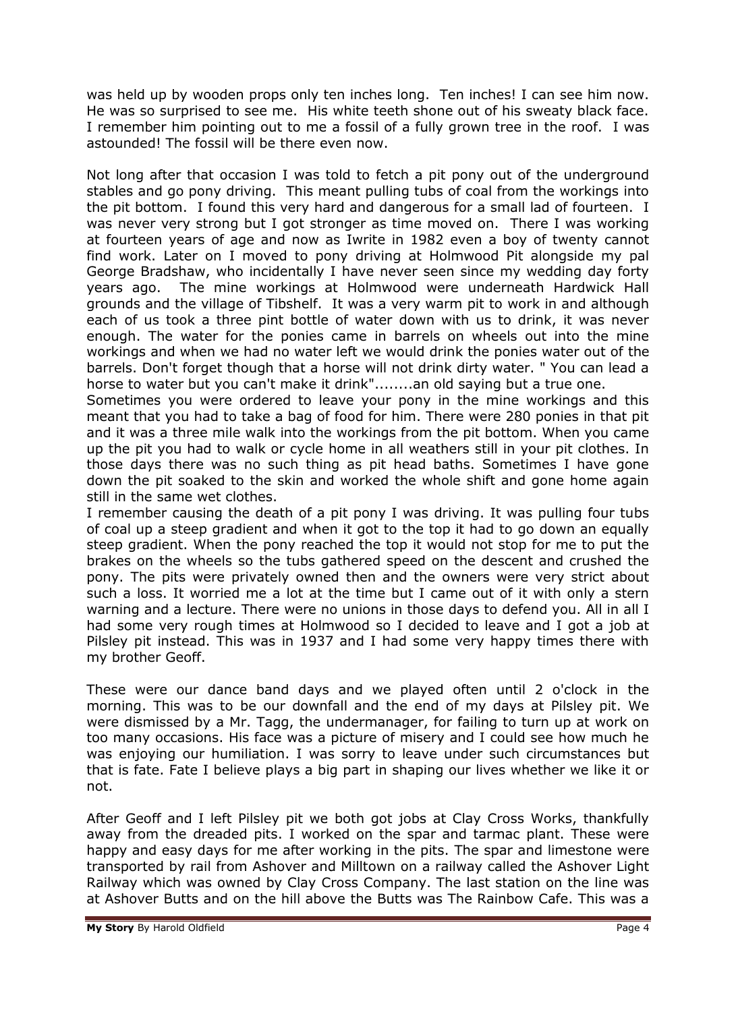was held up by wooden props only ten inches long. Ten inches! I can see him now. He was so surprised to see me. His white teeth shone out of his sweaty black face. I remember him pointing out to me a fossil of a fully grown tree in the roof. I was astounded! The fossil will be there even now.

Not long after that occasion I was told to fetch a pit pony out of the underground stables and go pony driving. This meant pulling tubs of coal from the workings into the pit bottom. I found this very hard and dangerous for a small lad of fourteen. I was never very strong but I got stronger as time moved on. There I was working at fourteen years of age and now as Iwrite in 1982 even a boy of twenty cannot find work. Later on I moved to pony driving at Holmwood Pit alongside my pal George Bradshaw, who incidentally I have never seen since my wedding day forty years ago. The mine workings at Holmwood were underneath Hardwick Hall grounds and the village of Tibshelf. It was a very warm pit to work in and although each of us took a three pint bottle of water down with us to drink, it was never enough. The water for the ponies came in barrels on wheels out into the mine workings and when we had no water left we would drink the ponies water out of the barrels. Don't forget though that a horse will not drink dirty water. " You can lead a horse to water but you can't make it drink"........an old saying but a true one.

Sometimes you were ordered to leave your pony in the mine workings and this meant that you had to take a bag of food for him. There were 280 ponies in that pit and it was a three mile walk into the workings from the pit bottom. When you came up the pit you had to walk or cycle home in all weathers still in your pit clothes. In those days there was no such thing as pit head baths. Sometimes I have gone down the pit soaked to the skin and worked the whole shift and gone home again still in the same wet clothes.

I remember causing the death of a pit pony I was driving. It was pulling four tubs of coal up a steep gradient and when it got to the top it had to go down an equally steep gradient. When the pony reached the top it would not stop for me to put the brakes on the wheels so the tubs gathered speed on the descent and crushed the pony. The pits were privately owned then and the owners were very strict about such a loss. It worried me a lot at the time but I came out of it with only a stern warning and a lecture. There were no unions in those days to defend you. All in all I had some very rough times at Holmwood so I decided to leave and I got a job at Pilsley pit instead. This was in 1937 and I had some very happy times there with my brother Geoff.

These were our dance band days and we played often until 2 o'clock in the morning. This was to be our downfall and the end of my days at Pilsley pit. We were dismissed by a Mr. Tagg, the undermanager, for failing to turn up at work on too many occasions. His face was a picture of misery and I could see how much he was enjoying our humiliation. I was sorry to leave under such circumstances but that is fate. Fate I believe plays a big part in shaping our lives whether we like it or not.

After Geoff and I left Pilsley pit we both got jobs at Clay Cross Works, thankfully away from the dreaded pits. I worked on the spar and tarmac plant. These were happy and easy days for me after working in the pits. The spar and limestone were transported by rail from Ashover and Milltown on a railway called the Ashover Light Railway which was owned by Clay Cross Company. The last station on the line was at Ashover Butts and on the hill above the Butts was The Rainbow Cafe. This was a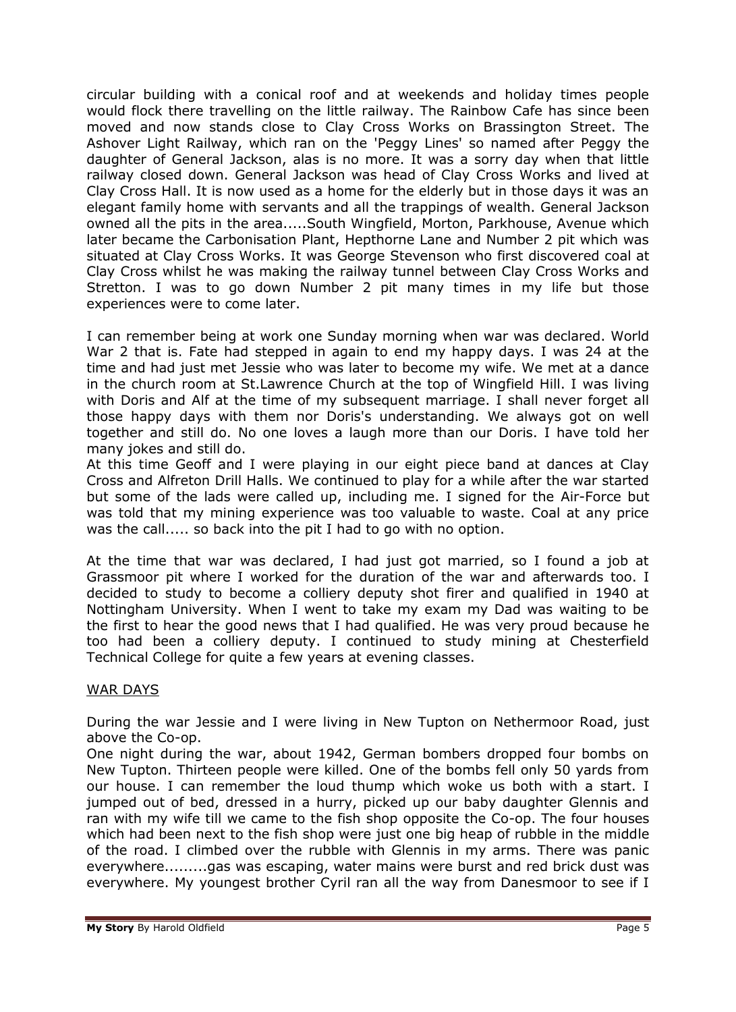circular building with a conical roof and at weekends and holiday times people would flock there travelling on the little railway. The Rainbow Cafe has since been moved and now stands close to Clay Cross Works on Brassington Street. The Ashover Light Railway, which ran on the 'Peggy Lines' so named after Peggy the daughter of General Jackson, alas is no more. It was a sorry day when that little railway closed down. General Jackson was head of Clay Cross Works and lived at Clay Cross Hall. It is now used as a home for the elderly but in those days it was an elegant family home with servants and all the trappings of wealth. General Jackson owned all the pits in the area.....South Wingfield, Morton, Parkhouse, Avenue which later became the Carbonisation Plant, Hepthorne Lane and Number 2 pit which was situated at Clay Cross Works. It was George Stevenson who first discovered coal at Clay Cross whilst he was making the railway tunnel between Clay Cross Works and Stretton. I was to go down Number 2 pit many times in my life but those experiences were to come later.

I can remember being at work one Sunday morning when war was declared. World War 2 that is. Fate had stepped in again to end my happy days. I was 24 at the time and had just met Jessie who was later to become my wife. We met at a dance in the church room at St.Lawrence Church at the top of Wingfield Hill. I was living with Doris and Alf at the time of my subsequent marriage. I shall never forget all those happy days with them nor Doris's understanding. We always got on well together and still do. No one loves a laugh more than our Doris. I have told her many jokes and still do.

At this time Geoff and I were playing in our eight piece band at dances at Clay Cross and Alfreton Drill Halls. We continued to play for a while after the war started but some of the lads were called up, including me. I signed for the Air-Force but was told that my mining experience was too valuable to waste. Coal at any price was the call..... so back into the pit I had to go with no option.

At the time that war was declared, I had just got married, so I found a job at Grassmoor pit where I worked for the duration of the war and afterwards too. I decided to study to become a colliery deputy shot firer and qualified in 1940 at Nottingham University. When I went to take my exam my Dad was waiting to be the first to hear the good news that I had qualified. He was very proud because he too had been a colliery deputy. I continued to study mining at Chesterfield Technical College for quite a few years at evening classes.

### WAR DAYS

During the war Jessie and I were living in New Tupton on Nethermoor Road, just above the Co-op.

One night during the war, about 1942, German bombers dropped four bombs on New Tupton. Thirteen people were killed. One of the bombs fell only 50 yards from our house. I can remember the loud thump which woke us both with a start. I jumped out of bed, dressed in a hurry, picked up our baby daughter Glennis and ran with my wife till we came to the fish shop opposite the Co-op. The four houses which had been next to the fish shop were just one big heap of rubble in the middle of the road. I climbed over the rubble with Glennis in my arms. There was panic everywhere.........gas was escaping, water mains were burst and red brick dust was everywhere. My youngest brother Cyril ran all the way from Danesmoor to see if I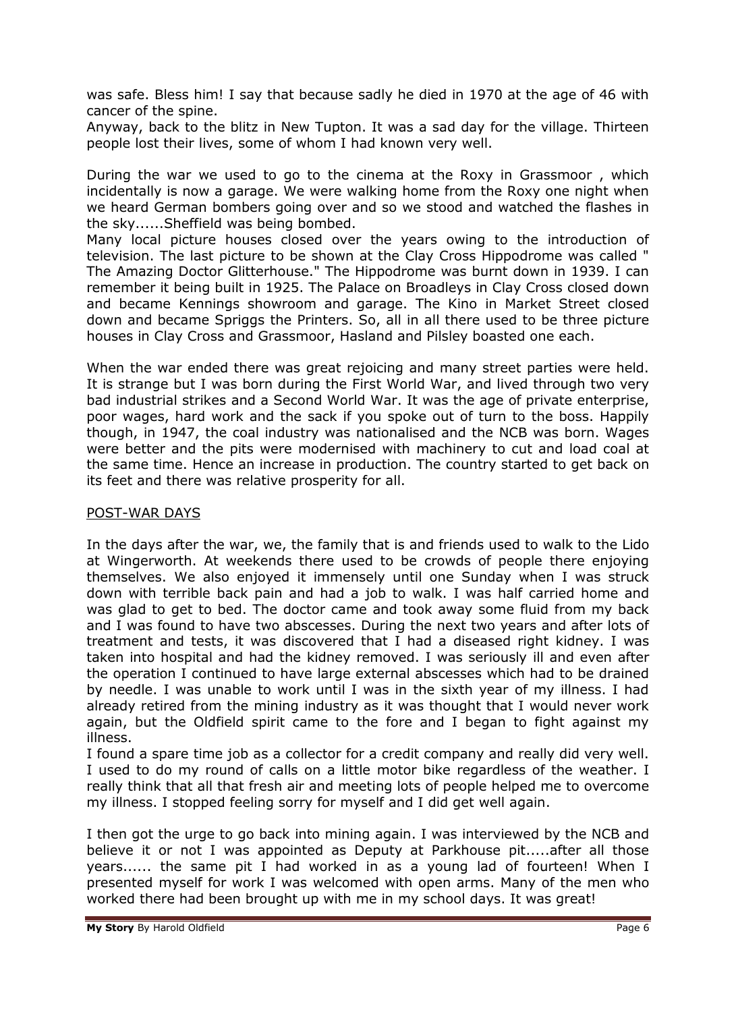was safe. Bless him! I say that because sadly he died in 1970 at the age of 46 with cancer of the spine.

Anyway, back to the blitz in New Tupton. It was a sad day for the village. Thirteen people lost their lives, some of whom I had known very well.

During the war we used to go to the cinema at the Roxy in Grassmoor , which incidentally is now a garage. We were walking home from the Roxy one night when we heard German bombers going over and so we stood and watched the flashes in the sky......Sheffield was being bombed.

Many local picture houses closed over the years owing to the introduction of television. The last picture to be shown at the Clay Cross Hippodrome was called " The Amazing Doctor Glitterhouse." The Hippodrome was burnt down in 1939. I can remember it being built in 1925. The Palace on Broadleys in Clay Cross closed down and became Kennings showroom and garage. The Kino in Market Street closed down and became Spriggs the Printers. So, all in all there used to be three picture houses in Clay Cross and Grassmoor, Hasland and Pilsley boasted one each.

When the war ended there was great rejoicing and many street parties were held. It is strange but I was born during the First World War, and lived through two very bad industrial strikes and a Second World War. It was the age of private enterprise, poor wages, hard work and the sack if you spoke out of turn to the boss. Happily though, in 1947, the coal industry was nationalised and the NCB was born. Wages were better and the pits were modernised with machinery to cut and load coal at the same time. Hence an increase in production. The country started to get back on its feet and there was relative prosperity for all.

### POST-WAR DAYS

In the days after the war, we, the family that is and friends used to walk to the Lido at Wingerworth. At weekends there used to be crowds of people there enjoying themselves. We also enjoyed it immensely until one Sunday when I was struck down with terrible back pain and had a job to walk. I was half carried home and was glad to get to bed. The doctor came and took away some fluid from my back and I was found to have two abscesses. During the next two years and after lots of treatment and tests, it was discovered that I had a diseased right kidney. I was taken into hospital and had the kidney removed. I was seriously ill and even after the operation I continued to have large external abscesses which had to be drained by needle. I was unable to work until I was in the sixth year of my illness. I had already retired from the mining industry as it was thought that I would never work again, but the Oldfield spirit came to the fore and I began to fight against my illness.

I found a spare time job as a collector for a credit company and really did very well. I used to do my round of calls on a little motor bike regardless of the weather. I really think that all that fresh air and meeting lots of people helped me to overcome my illness. I stopped feeling sorry for myself and I did get well again.

I then got the urge to go back into mining again. I was interviewed by the NCB and believe it or not I was appointed as Deputy at Parkhouse pit.....after all those years...... the same pit I had worked in as a young lad of fourteen! When I presented myself for work I was welcomed with open arms. Many of the men who worked there had been brought up with me in my school days. It was great!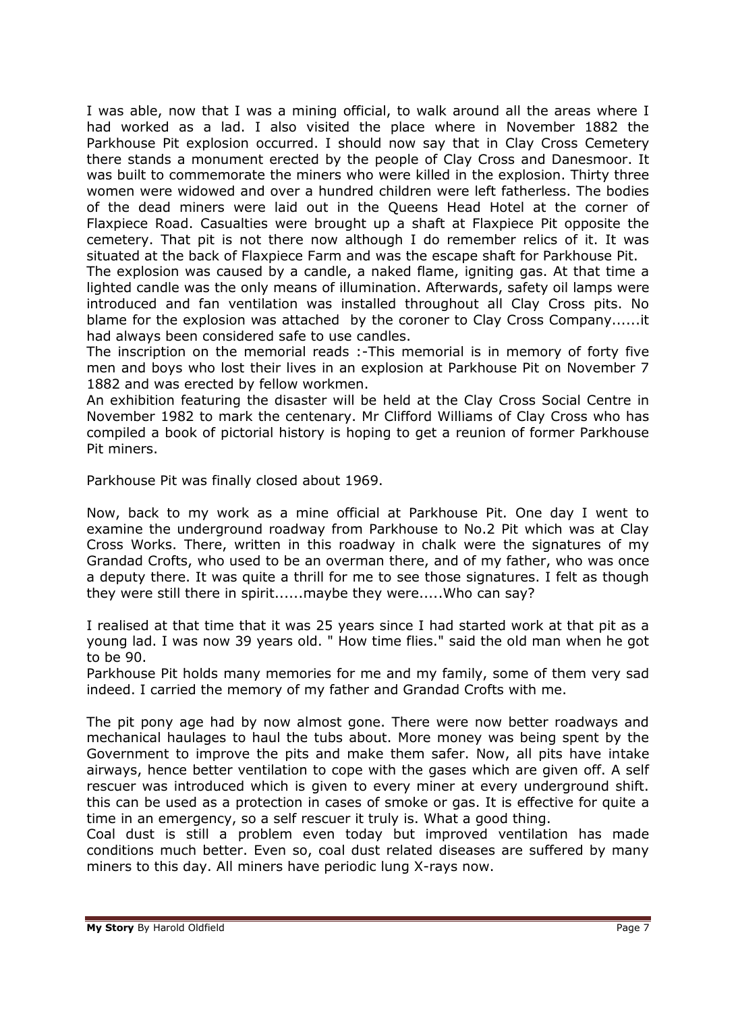I was able, now that I was a mining official, to walk around all the areas where I had worked as a lad. I also visited the place where in November 1882 the Parkhouse Pit explosion occurred. I should now say that in Clay Cross Cemetery there stands a monument erected by the people of Clay Cross and Danesmoor. It was built to commemorate the miners who were killed in the explosion. Thirty three women were widowed and over a hundred children were left fatherless. The bodies of the dead miners were laid out in the Queens Head Hotel at the corner of Flaxpiece Road. Casualties were brought up a shaft at Flaxpiece Pit opposite the cemetery. That pit is not there now although I do remember relics of it. It was situated at the back of Flaxpiece Farm and was the escape shaft for Parkhouse Pit.

The explosion was caused by a candle, a naked flame, igniting gas. At that time a lighted candle was the only means of illumination. Afterwards, safety oil lamps were introduced and fan ventilation was installed throughout all Clay Cross pits. No blame for the explosion was attached by the coroner to Clay Cross Company......it had always been considered safe to use candles.

The inscription on the memorial reads :-This memorial is in memory of forty five men and boys who lost their lives in an explosion at Parkhouse Pit on November 7 1882 and was erected by fellow workmen.

An exhibition featuring the disaster will be held at the Clay Cross Social Centre in November 1982 to mark the centenary. Mr Clifford Williams of Clay Cross who has compiled a book of pictorial history is hoping to get a reunion of former Parkhouse Pit miners.

Parkhouse Pit was finally closed about 1969.

Now, back to my work as a mine official at Parkhouse Pit. One day I went to examine the underground roadway from Parkhouse to No.2 Pit which was at Clay Cross Works. There, written in this roadway in chalk were the signatures of my Grandad Crofts, who used to be an overman there, and of my father, who was once a deputy there. It was quite a thrill for me to see those signatures. I felt as though they were still there in spirit......maybe they were.....Who can say?

I realised at that time that it was 25 years since I had started work at that pit as a young lad. I was now 39 years old. " How time flies." said the old man when he got to be 90.

Parkhouse Pit holds many memories for me and my family, some of them very sad indeed. I carried the memory of my father and Grandad Crofts with me.

The pit pony age had by now almost gone. There were now better roadways and mechanical haulages to haul the tubs about. More money was being spent by the Government to improve the pits and make them safer. Now, all pits have intake airways, hence better ventilation to cope with the gases which are given off. A self rescuer was introduced which is given to every miner at every underground shift. this can be used as a protection in cases of smoke or gas. It is effective for quite a time in an emergency, so a self rescuer it truly is. What a good thing.

Coal dust is still a problem even today but improved ventilation has made conditions much better. Even so, coal dust related diseases are suffered by many miners to this day. All miners have periodic lung X-rays now.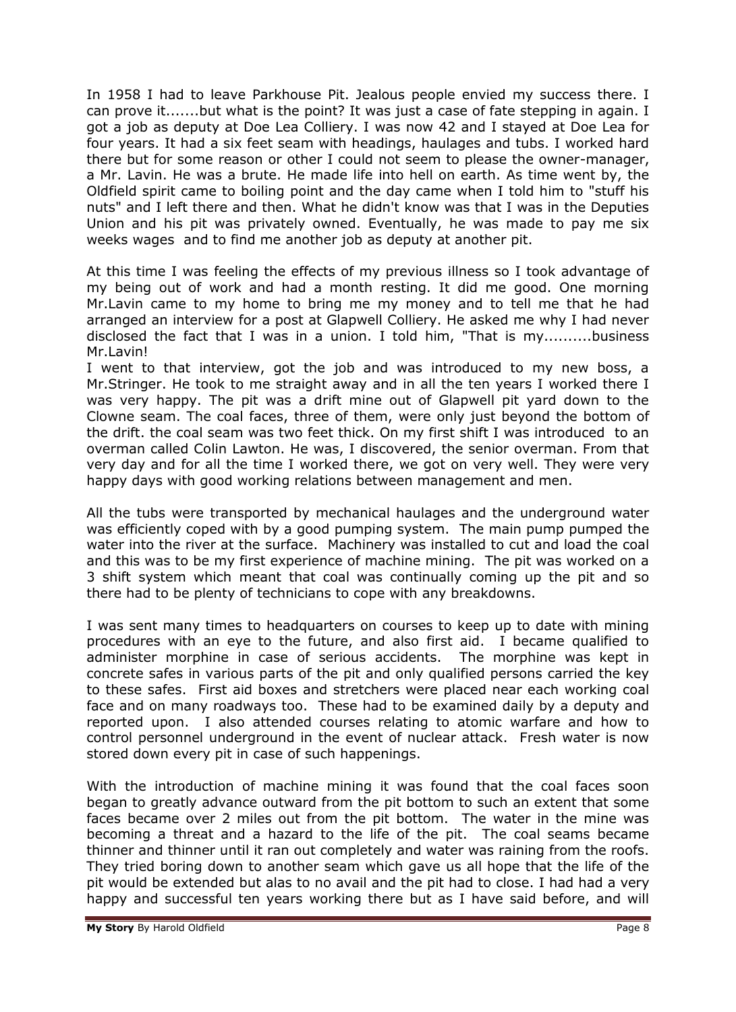In 1958 I had to leave Parkhouse Pit. Jealous people envied my success there. I can prove it.......but what is the point? It was just a case of fate stepping in again. I got a job as deputy at Doe Lea Colliery. I was now 42 and I stayed at Doe Lea for four years. It had a six feet seam with headings, haulages and tubs. I worked hard there but for some reason or other I could not seem to please the owner-manager, a Mr. Lavin. He was a brute. He made life into hell on earth. As time went by, the Oldfield spirit came to boiling point and the day came when I told him to "stuff his nuts" and I left there and then. What he didn't know was that I was in the Deputies Union and his pit was privately owned. Eventually, he was made to pay me six weeks wages and to find me another job as deputy at another pit.

At this time I was feeling the effects of my previous illness so I took advantage of my being out of work and had a month resting. It did me good. One morning Mr.Lavin came to my home to bring me my money and to tell me that he had arranged an interview for a post at Glapwell Colliery. He asked me why I had never disclosed the fact that I was in a union. I told him, "That is my..........business Mr.I avin!

I went to that interview, got the job and was introduced to my new boss, a Mr.Stringer. He took to me straight away and in all the ten years I worked there I was very happy. The pit was a drift mine out of Glapwell pit yard down to the Clowne seam. The coal faces, three of them, were only just beyond the bottom of the drift. the coal seam was two feet thick. On my first shift I was introduced to an overman called Colin Lawton. He was, I discovered, the senior overman. From that very day and for all the time I worked there, we got on very well. They were very happy days with good working relations between management and men.

All the tubs were transported by mechanical haulages and the underground water was efficiently coped with by a good pumping system. The main pump pumped the water into the river at the surface. Machinery was installed to cut and load the coal and this was to be my first experience of machine mining. The pit was worked on a 3 shift system which meant that coal was continually coming up the pit and so there had to be plenty of technicians to cope with any breakdowns.

I was sent many times to headquarters on courses to keep up to date with mining procedures with an eye to the future, and also first aid. I became qualified to administer morphine in case of serious accidents. The morphine was kept in concrete safes in various parts of the pit and only qualified persons carried the key to these safes. First aid boxes and stretchers were placed near each working coal face and on many roadways too. These had to be examined daily by a deputy and reported upon. I also attended courses relating to atomic warfare and how to control personnel underground in the event of nuclear attack. Fresh water is now stored down every pit in case of such happenings.

With the introduction of machine mining it was found that the coal faces soon began to greatly advance outward from the pit bottom to such an extent that some faces became over 2 miles out from the pit bottom. The water in the mine was becoming a threat and a hazard to the life of the pit. The coal seams became thinner and thinner until it ran out completely and water was raining from the roofs. They tried boring down to another seam which gave us all hope that the life of the pit would be extended but alas to no avail and the pit had to close. I had had a very happy and successful ten years working there but as I have said before, and will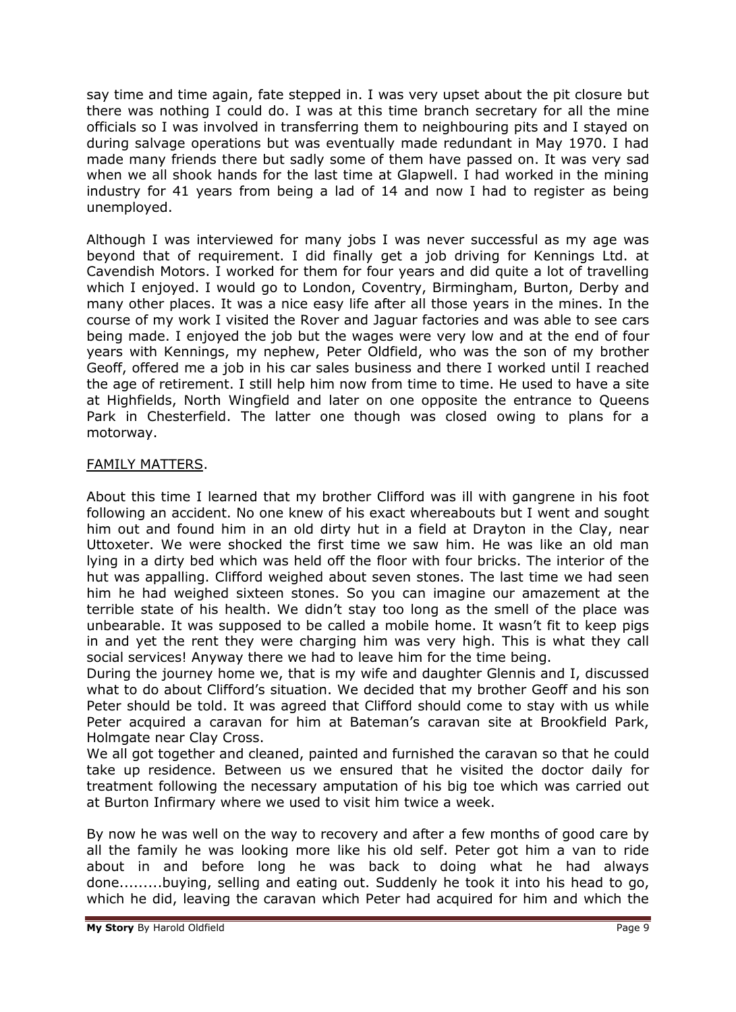say time and time again, fate stepped in. I was very upset about the pit closure but there was nothing I could do. I was at this time branch secretary for all the mine officials so I was involved in transferring them to neighbouring pits and I stayed on during salvage operations but was eventually made redundant in May 1970. I had made many friends there but sadly some of them have passed on. It was very sad when we all shook hands for the last time at Glapwell. I had worked in the mining industry for 41 years from being a lad of 14 and now I had to register as being unemployed.

Although I was interviewed for many jobs I was never successful as my age was beyond that of requirement. I did finally get a job driving for Kennings Ltd. at Cavendish Motors. I worked for them for four years and did quite a lot of travelling which I enjoyed. I would go to London, Coventry, Birmingham, Burton, Derby and many other places. It was a nice easy life after all those years in the mines. In the course of my work I visited the Rover and Jaguar factories and was able to see cars being made. I enjoyed the job but the wages were very low and at the end of four years with Kennings, my nephew, Peter Oldfield, who was the son of my brother Geoff, offered me a job in his car sales business and there I worked until I reached the age of retirement. I still help him now from time to time. He used to have a site at Highfields, North Wingfield and later on one opposite the entrance to Queens Park in Chesterfield. The latter one though was closed owing to plans for a motorway.

# FAMILY MATTERS.

About this time I learned that my brother Clifford was ill with gangrene in his foot following an accident. No one knew of his exact whereabouts but I went and sought him out and found him in an old dirty hut in a field at Drayton in the Clay, near Uttoxeter. We were shocked the first time we saw him. He was like an old man lying in a dirty bed which was held off the floor with four bricks. The interior of the hut was appalling. Clifford weighed about seven stones. The last time we had seen him he had weighed sixteen stones. So you can imagine our amazement at the terrible state of his health. We didn't stay too long as the smell of the place was unbearable. It was supposed to be called a mobile home. It wasn't fit to keep pigs in and yet the rent they were charging him was very high. This is what they call social services! Anyway there we had to leave him for the time being.

During the journey home we, that is my wife and daughter Glennis and I, discussed what to do about Clifford's situation. We decided that my brother Geoff and his son Peter should be told. It was agreed that Clifford should come to stay with us while Peter acquired a caravan for him at Bateman's caravan site at Brookfield Park, Holmgate near Clay Cross.

We all got together and cleaned, painted and furnished the caravan so that he could take up residence. Between us we ensured that he visited the doctor daily for treatment following the necessary amputation of his big toe which was carried out at Burton Infirmary where we used to visit him twice a week.

By now he was well on the way to recovery and after a few months of good care by all the family he was looking more like his old self. Peter got him a van to ride about in and before long he was back to doing what he had always done.........buying, selling and eating out. Suddenly he took it into his head to go, which he did, leaving the caravan which Peter had acquired for him and which the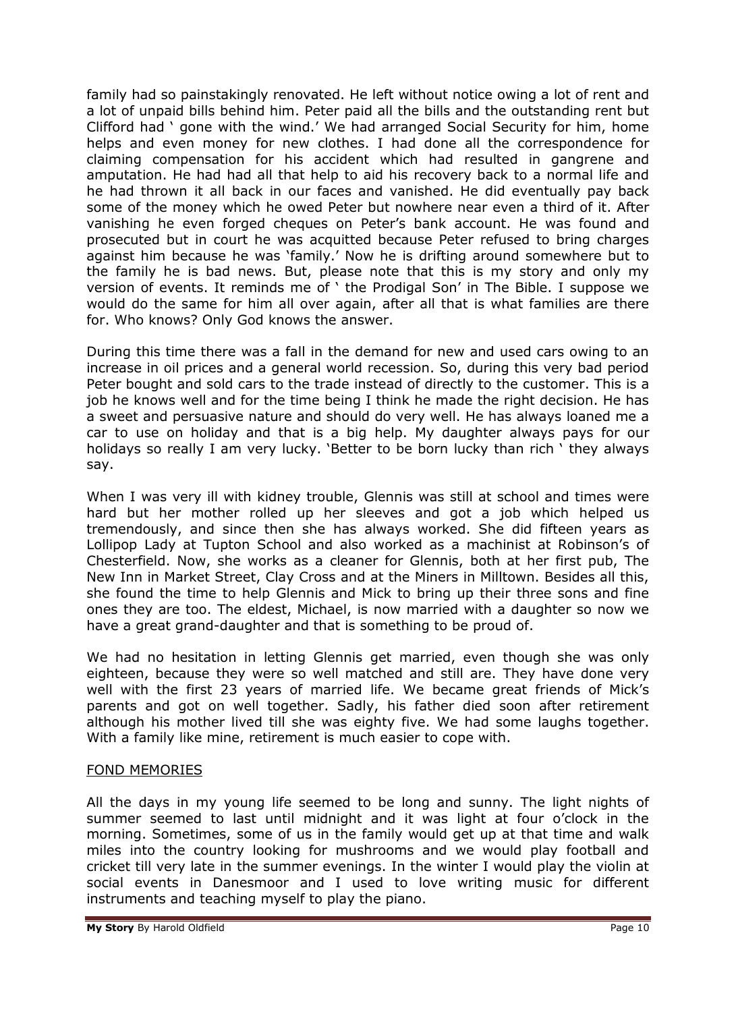family had so painstakingly renovated. He left without notice owing a lot of rent and a lot of unpaid bills behind him. Peter paid all the bills and the outstanding rent but Clifford had ' gone with the wind.' We had arranged Social Security for him, home helps and even money for new clothes. I had done all the correspondence for claiming compensation for his accident which had resulted in gangrene and amputation. He had had all that help to aid his recovery back to a normal life and he had thrown it all back in our faces and vanished. He did eventually pay back some of the money which he owed Peter but nowhere near even a third of it. After vanishing he even forged cheques on Peter's bank account. He was found and prosecuted but in court he was acquitted because Peter refused to bring charges against him because he was 'family.' Now he is drifting around somewhere but to the family he is bad news. But, please note that this is my story and only my version of events. It reminds me of ' the Prodigal Son' in The Bible. I suppose we would do the same for him all over again, after all that is what families are there for. Who knows? Only God knows the answer.

During this time there was a fall in the demand for new and used cars owing to an increase in oil prices and a general world recession. So, during this very bad period Peter bought and sold cars to the trade instead of directly to the customer. This is a job he knows well and for the time being I think he made the right decision. He has a sweet and persuasive nature and should do very well. He has always loaned me a car to use on holiday and that is a big help. My daughter always pays for our holidays so really I am very lucky. 'Better to be born lucky than rich ' they always say.

When I was very ill with kidney trouble, Glennis was still at school and times were hard but her mother rolled up her sleeves and got a job which helped us tremendously, and since then she has always worked. She did fifteen years as Lollipop Lady at Tupton School and also worked as a machinist at Robinson's of Chesterfield. Now, she works as a cleaner for Glennis, both at her first pub, The New Inn in Market Street, Clay Cross and at the Miners in Milltown. Besides all this, she found the time to help Glennis and Mick to bring up their three sons and fine ones they are too. The eldest, Michael, is now married with a daughter so now we have a great grand-daughter and that is something to be proud of.

We had no hesitation in letting Glennis get married, even though she was only eighteen, because they were so well matched and still are. They have done very well with the first 23 years of married life. We became great friends of Mick's parents and got on well together. Sadly, his father died soon after retirement although his mother lived till she was eighty five. We had some laughs together. With a family like mine, retirement is much easier to cope with.

# FOND MEMORIES

All the days in my young life seemed to be long and sunny. The light nights of summer seemed to last until midnight and it was light at four o'clock in the morning. Sometimes, some of us in the family would get up at that time and walk miles into the country looking for mushrooms and we would play football and cricket till very late in the summer evenings. In the winter I would play the violin at social events in Danesmoor and I used to love writing music for different instruments and teaching myself to play the piano.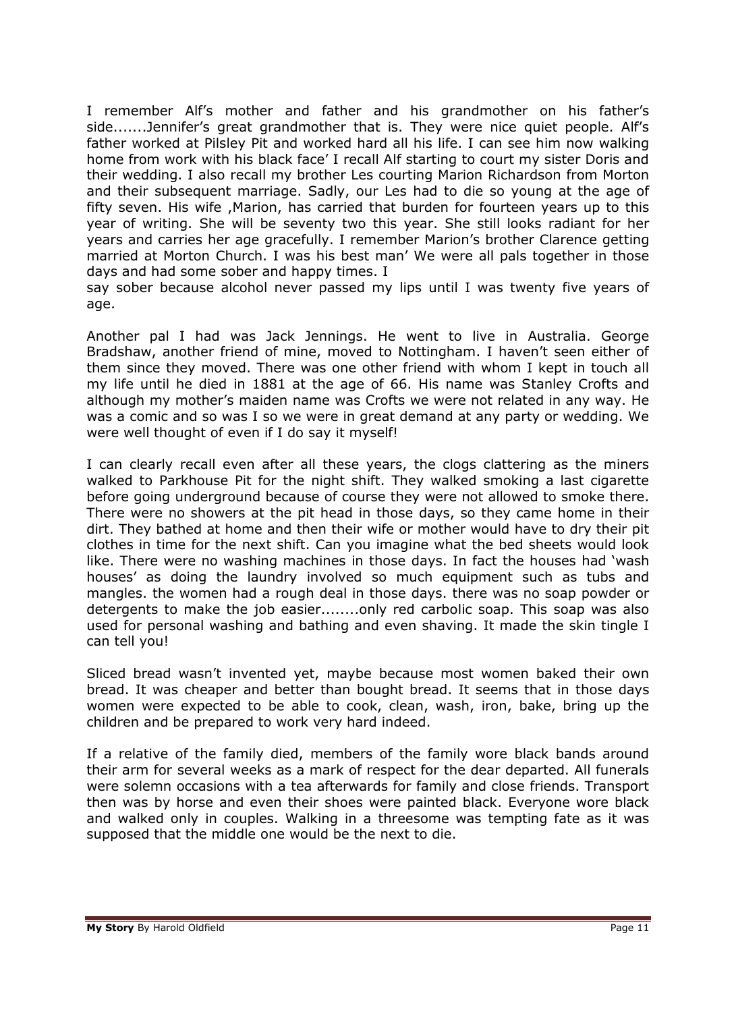I remember Alf's mother and father and his grandmother on his father's side.......Jennifer's great grandmother that is. They were nice quiet people. Alf's father worked at Pilsley Pit and worked hard all his life. I can see him now walking home from work with his black face' I recall Alf starting to court my sister Doris and their wedding. I also recall my brother Les courting Marion Richardson from Morton and their subsequent marriage. Sadly, our Les had to die so young at the age of fifty seven. His wife ,Marion, has carried that burden for fourteen years up to this year of writing. She will be seventy two this year. She still looks radiant for her years and carries her age gracefully. I remember Marion's brother Clarence getting married at Morton Church. I was his best man' We were all pals together in those days and had some sober and happy times. I

say sober because alcohol never passed my lips until I was twenty five years of age.

Another pal I had was Jack Jennings. He went to live in Australia. George Bradshaw, another friend of mine, moved to Nottingham. I haven't seen either of them since they moved. There was one other friend with whom I kept in touch all my life until he died in 1881 at the age of 66. His name was Stanley Crofts and although my mother's maiden name was Crofts we were not related in any way. He was a comic and so was I so we were in great demand at any party or wedding. We were well thought of even if I do say it myself!

I can clearly recall even after all these years, the clogs clattering as the miners walked to Parkhouse Pit for the night shift. They walked smoking a last cigarette before going underground because of course they were not allowed to smoke there. There were no showers at the pit head in those days, so they came home in their dirt. They bathed at home and then their wife or mother would have to dry their pit clothes in time for the next shift. Can you imagine what the bed sheets would look like. There were no washing machines in those days. In fact the houses had 'wash houses' as doing the laundry involved so much equipment such as tubs and mangles. the women had a rough deal in those days. there was no soap powder or detergents to make the job easier........only red carbolic soap. This soap was also used for personal washing and bathing and even shaving. It made the skin tingle I can tell you!

Sliced bread wasn't invented yet, maybe because most women baked their own bread. It was cheaper and better than bought bread. It seems that in those days women were expected to be able to cook, clean, wash, iron, bake, bring up the children and be prepared to work very hard indeed.

If a relative of the family died, members of the family wore black bands around their arm for several weeks as a mark of respect for the dear departed. All funerals were solemn occasions with a tea afterwards for family and close friends. Transport then was by horse and even their shoes were painted black. Everyone wore black and walked only in couples. Walking in a threesome was tempting fate as it was supposed that the middle one would be the next to die.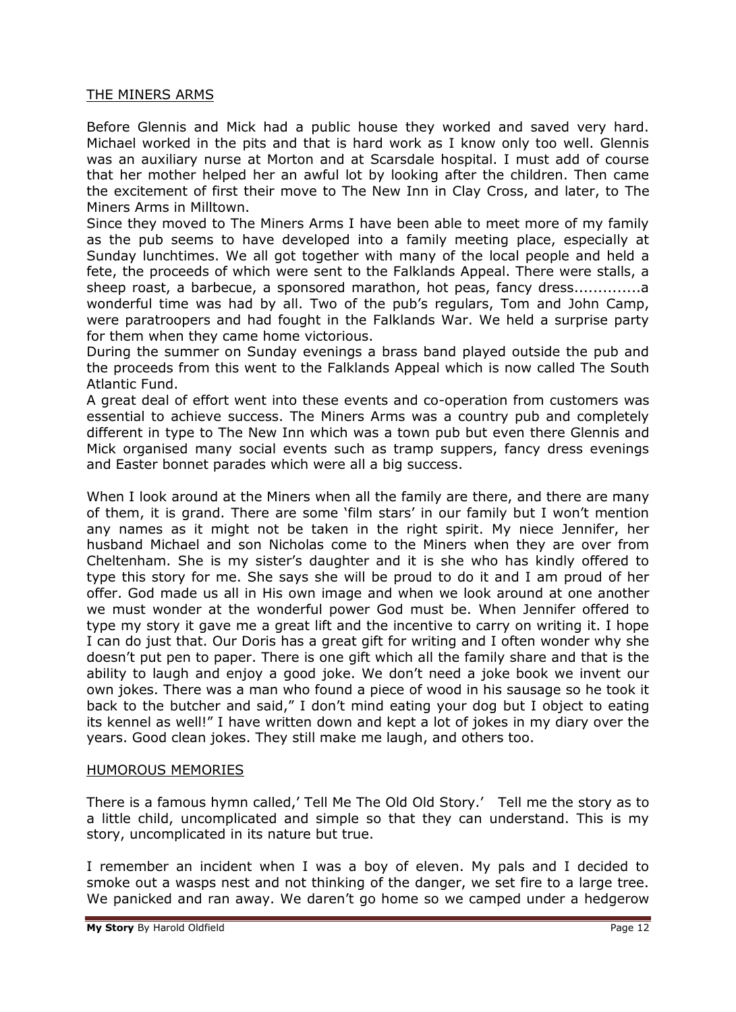### THE MINERS ARMS

Before Glennis and Mick had a public house they worked and saved very hard. Michael worked in the pits and that is hard work as I know only too well. Glennis was an auxiliary nurse at Morton and at Scarsdale hospital. I must add of course that her mother helped her an awful lot by looking after the children. Then came the excitement of first their move to The New Inn in Clay Cross, and later, to The Miners Arms in Milltown.

Since they moved to The Miners Arms I have been able to meet more of my family as the pub seems to have developed into a family meeting place, especially at Sunday lunchtimes. We all got together with many of the local people and held a fete, the proceeds of which were sent to the Falklands Appeal. There were stalls, a sheep roast, a barbecue, a sponsored marathon, hot peas, fancy dress..............a wonderful time was had by all. Two of the pub's regulars, Tom and John Camp, were paratroopers and had fought in the Falklands War. We held a surprise party for them when they came home victorious.

During the summer on Sunday evenings a brass band played outside the pub and the proceeds from this went to the Falklands Appeal which is now called The South Atlantic Fund.

A great deal of effort went into these events and co-operation from customers was essential to achieve success. The Miners Arms was a country pub and completely different in type to The New Inn which was a town pub but even there Glennis and Mick organised many social events such as tramp suppers, fancy dress evenings and Easter bonnet parades which were all a big success.

When I look around at the Miners when all the family are there, and there are many of them, it is grand. There are some 'film stars' in our family but I won't mention any names as it might not be taken in the right spirit. My niece Jennifer, her husband Michael and son Nicholas come to the Miners when they are over from Cheltenham. She is my sister's daughter and it is she who has kindly offered to type this story for me. She says she will be proud to do it and I am proud of her offer. God made us all in His own image and when we look around at one another we must wonder at the wonderful power God must be. When Jennifer offered to type my story it gave me a great lift and the incentive to carry on writing it. I hope I can do just that. Our Doris has a great gift for writing and I often wonder why she doesn't put pen to paper. There is one gift which all the family share and that is the ability to laugh and enjoy a good joke. We don't need a joke book we invent our own jokes. There was a man who found a piece of wood in his sausage so he took it back to the butcher and said," I don't mind eating your dog but I object to eating its kennel as well!" I have written down and kept a lot of jokes in my diary over the years. Good clean jokes. They still make me laugh, and others too.

# HUMOROUS MEMORIES

There is a famous hymn called,' Tell Me The Old Old Story.' Tell me the story as to a little child, uncomplicated and simple so that they can understand. This is my story, uncomplicated in its nature but true.

I remember an incident when I was a boy of eleven. My pals and I decided to smoke out a wasps nest and not thinking of the danger, we set fire to a large tree. We panicked and ran away. We daren't go home so we camped under a hedgerow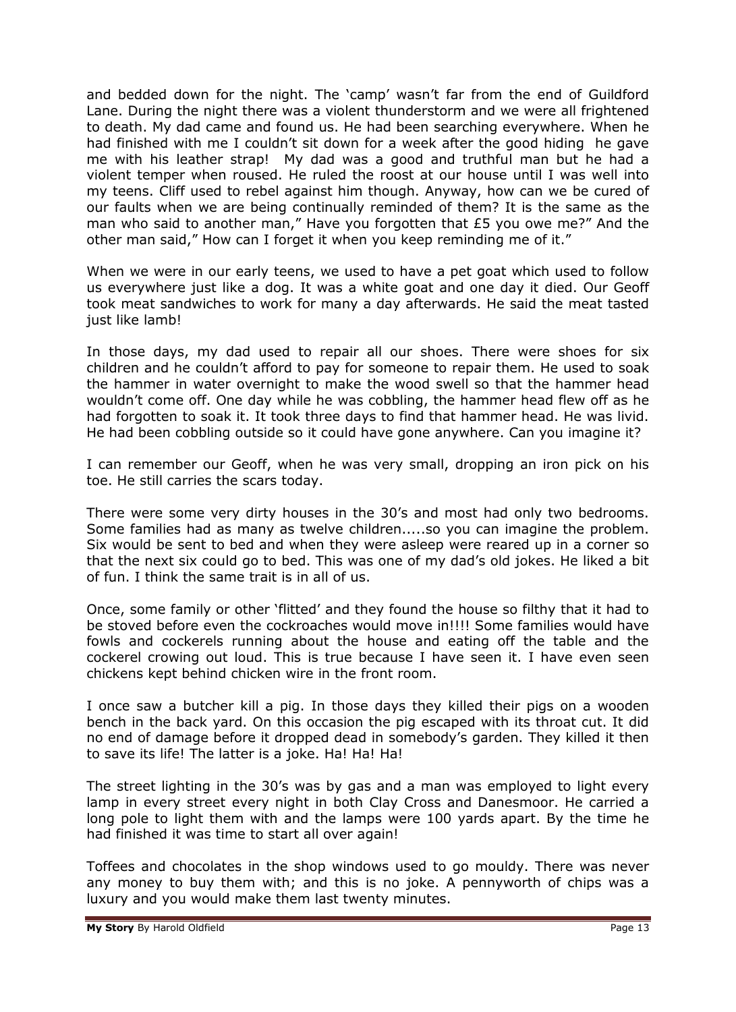and bedded down for the night. The 'camp' wasn't far from the end of Guildford Lane. During the night there was a violent thunderstorm and we were all frightened to death. My dad came and found us. He had been searching everywhere. When he had finished with me I couldn't sit down for a week after the good hiding he gave me with his leather strap! My dad was a good and truthful man but he had a violent temper when roused. He ruled the roost at our house until I was well into my teens. Cliff used to rebel against him though. Anyway, how can we be cured of our faults when we are being continually reminded of them? It is the same as the man who said to another man," Have you forgotten that £5 you owe me?" And the other man said," How can I forget it when you keep reminding me of it."

When we were in our early teens, we used to have a pet goat which used to follow us everywhere just like a dog. It was a white goat and one day it died. Our Geoff took meat sandwiches to work for many a day afterwards. He said the meat tasted just like lamb!

In those days, my dad used to repair all our shoes. There were shoes for six children and he couldn't afford to pay for someone to repair them. He used to soak the hammer in water overnight to make the wood swell so that the hammer head wouldn't come off. One day while he was cobbling, the hammer head flew off as he had forgotten to soak it. It took three days to find that hammer head. He was livid. He had been cobbling outside so it could have gone anywhere. Can you imagine it?

I can remember our Geoff, when he was very small, dropping an iron pick on his toe. He still carries the scars today.

There were some very dirty houses in the 30's and most had only two bedrooms. Some families had as many as twelve children.....so you can imagine the problem. Six would be sent to bed and when they were asleep were reared up in a corner so that the next six could go to bed. This was one of my dad's old jokes. He liked a bit of fun. I think the same trait is in all of us.

Once, some family or other 'flitted' and they found the house so filthy that it had to be stoved before even the cockroaches would move in!!!! Some families would have fowls and cockerels running about the house and eating off the table and the cockerel crowing out loud. This is true because I have seen it. I have even seen chickens kept behind chicken wire in the front room.

I once saw a butcher kill a pig. In those days they killed their pigs on a wooden bench in the back yard. On this occasion the pig escaped with its throat cut. It did no end of damage before it dropped dead in somebody's garden. They killed it then to save its life! The latter is a joke. Ha! Ha! Ha!

The street lighting in the 30's was by gas and a man was employed to light every lamp in every street every night in both Clay Cross and Danesmoor. He carried a long pole to light them with and the lamps were 100 yards apart. By the time he had finished it was time to start all over again!

Toffees and chocolates in the shop windows used to go mouldy. There was never any money to buy them with; and this is no joke. A pennyworth of chips was a luxury and you would make them last twenty minutes.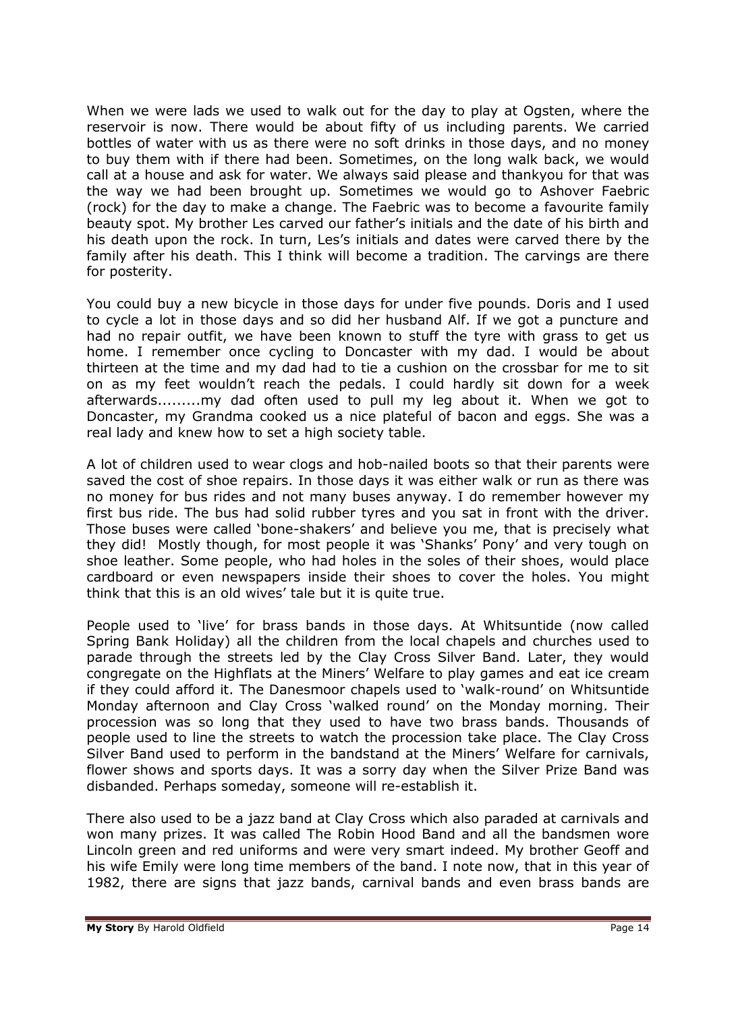When we were lads we used to walk out for the day to play at Ogsten, where the reservoir is now. There would be about fifty of us including parents. We carried bottles of water with us as there were no soft drinks in those days, and no money to buy them with if there had been. Sometimes, on the long walk back, we would call at a house and ask for water. We always said please and thankyou for that was the way we had been brought up. Sometimes we would go to Ashover Faebric (rock) for the day to make a change. The Faebric was to become a favourite family beauty spot. My brother Les carved our father's initials and the date of his birth and his death upon the rock. In turn, Les's initials and dates were carved there by the family after his death. This I think will become a tradition. The carvings are there for posterity.

You could buy a new bicycle in those days for under five pounds. Doris and I used to cycle a lot in those days and so did her husband Alf. If we got a puncture and had no repair outfit, we have been known to stuff the tyre with grass to get us home. I remember once cycling to Doncaster with my dad. I would be about thirteen at the time and my dad had to tie a cushion on the crossbar for me to sit on as my feet wouldn't reach the pedals. I could hardly sit down for a week afterwards.........my dad often used to pull my leg about it. When we got to Doncaster, my Grandma cooked us a nice plateful of bacon and eggs. She was a real lady and knew how to set a high society table.

A lot of children used to wear clogs and hob-nailed boots so that their parents were saved the cost of shoe repairs. In those days it was either walk or run as there was no money for bus rides and not many buses anyway. I do remember however my first bus ride. The bus had solid rubber tyres and you sat in front with the driver. Those buses were called 'bone-shakers' and believe you me, that is precisely what they did! Mostly though, for most people it was 'Shanks' Pony' and very tough on shoe leather. Some people, who had holes in the soles of their shoes, would place cardboard or even newspapers inside their shoes to cover the holes. You might think that this is an old wives' tale but it is quite true.

People used to 'live' for brass bands in those days. At Whitsuntide (now called Spring Bank Holiday) all the children from the local chapels and churches used to parade through the streets led by the Clay Cross Silver Band. Later, they would congregate on the Highflats at the Miners' Welfare to play games and eat ice cream if they could afford it. The Danesmoor chapels used to 'walk-round' on Whitsuntide Monday afternoon and Clay Cross 'walked round' on the Monday morning. Their procession was so long that they used to have two brass bands. Thousands of people used to line the streets to watch the procession take place. The Clay Cross Silver Band used to perform in the bandstand at the Miners' Welfare for carnivals, flower shows and sports days. It was a sorry day when the Silver Prize Band was disbanded. Perhaps someday, someone will re-establish it.

There also used to be a jazz band at Clay Cross which also paraded at carnivals and won many prizes. It was called The Robin Hood Band and all the bandsmen wore Lincoln green and red uniforms and were very smart indeed. My brother Geoff and his wife Emily were long time members of the band. I note now, that in this year of 1982, there are signs that jazz bands, carnival bands and even brass bands are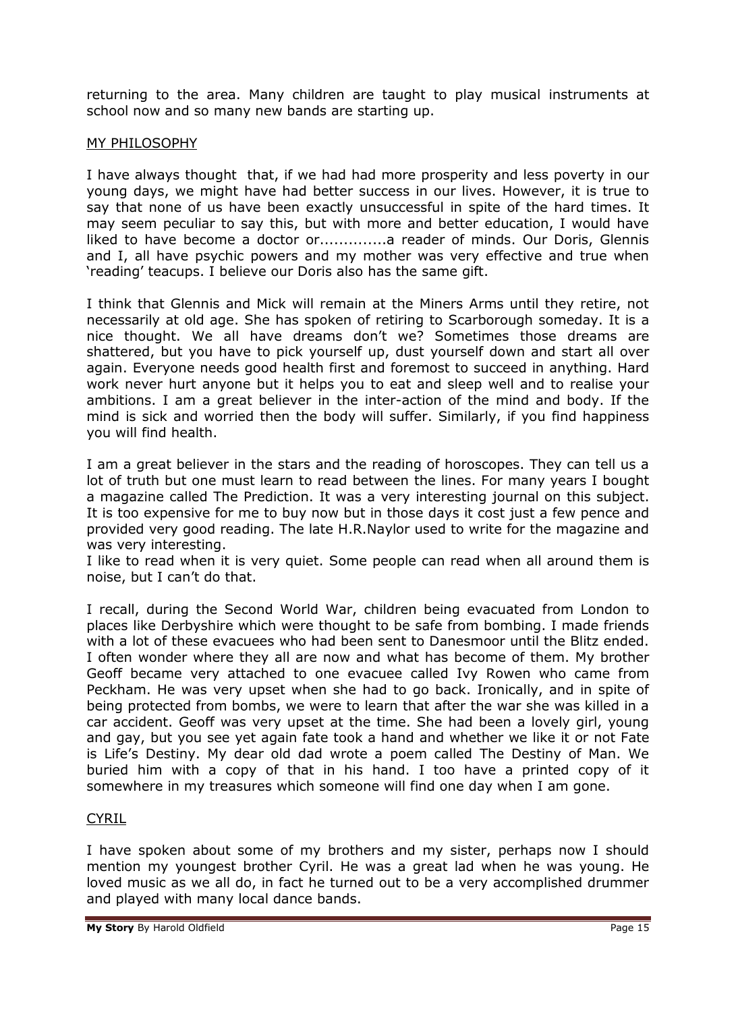returning to the area. Many children are taught to play musical instruments at school now and so many new bands are starting up.

## MY PHILOSOPHY

I have always thought that, if we had had more prosperity and less poverty in our young days, we might have had better success in our lives. However, it is true to say that none of us have been exactly unsuccessful in spite of the hard times. It may seem peculiar to say this, but with more and better education, I would have liked to have become a doctor or..............a reader of minds. Our Doris, Glennis and I, all have psychic powers and my mother was very effective and true when 'reading' teacups. I believe our Doris also has the same gift.

I think that Glennis and Mick will remain at the Miners Arms until they retire, not necessarily at old age. She has spoken of retiring to Scarborough someday. It is a nice thought. We all have dreams don't we? Sometimes those dreams are shattered, but you have to pick yourself up, dust yourself down and start all over again. Everyone needs good health first and foremost to succeed in anything. Hard work never hurt anyone but it helps you to eat and sleep well and to realise your ambitions. I am a great believer in the inter-action of the mind and body. If the mind is sick and worried then the body will suffer. Similarly, if you find happiness you will find health.

I am a great believer in the stars and the reading of horoscopes. They can tell us a lot of truth but one must learn to read between the lines. For many years I bought a magazine called The Prediction. It was a very interesting journal on this subject. It is too expensive for me to buy now but in those days it cost just a few pence and provided very good reading. The late H.R.Naylor used to write for the magazine and was very interesting.

I like to read when it is very quiet. Some people can read when all around them is noise, but I can't do that.

I recall, during the Second World War, children being evacuated from London to places like Derbyshire which were thought to be safe from bombing. I made friends with a lot of these evacuees who had been sent to Danesmoor until the Blitz ended. I often wonder where they all are now and what has become of them. My brother Geoff became very attached to one evacuee called Ivy Rowen who came from Peckham. He was very upset when she had to go back. Ironically, and in spite of being protected from bombs, we were to learn that after the war she was killed in a car accident. Geoff was very upset at the time. She had been a lovely girl, young and gay, but you see yet again fate took a hand and whether we like it or not Fate is Life's Destiny. My dear old dad wrote a poem called The Destiny of Man. We buried him with a copy of that in his hand. I too have a printed copy of it somewhere in my treasures which someone will find one day when I am gone.

# CYRIL

I have spoken about some of my brothers and my sister, perhaps now I should mention my youngest brother Cyril. He was a great lad when he was young. He loved music as we all do, in fact he turned out to be a very accomplished drummer and played with many local dance bands.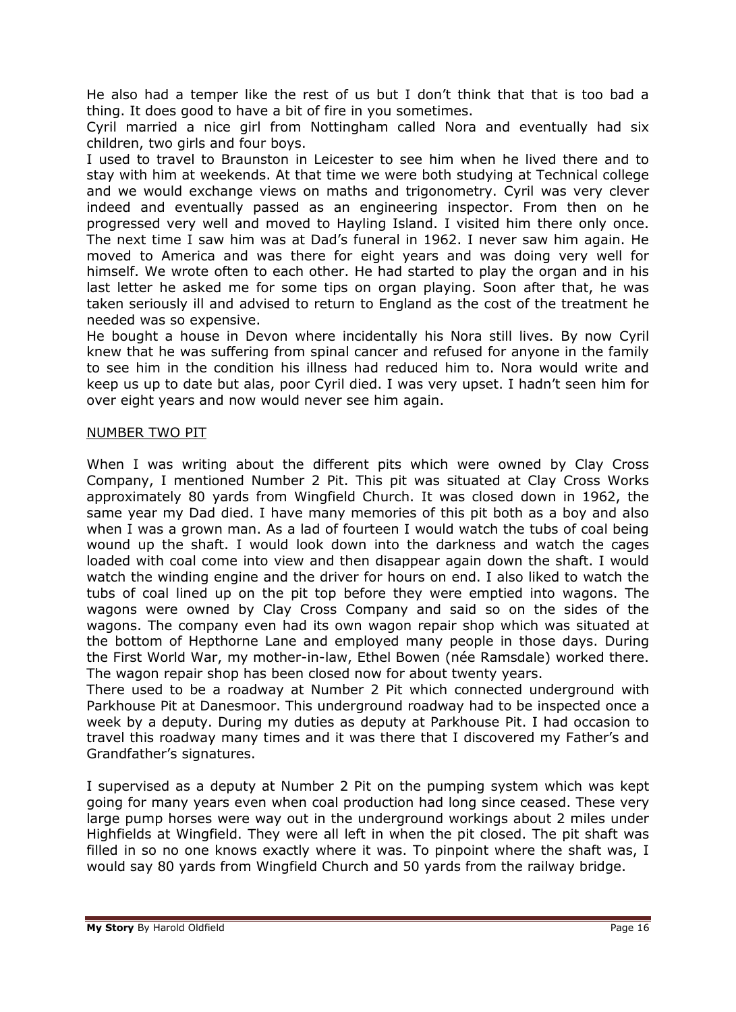He also had a temper like the rest of us but I don't think that that is too bad a thing. It does good to have a bit of fire in you sometimes.

Cyril married a nice girl from Nottingham called Nora and eventually had six children, two girls and four boys.

I used to travel to Braunston in Leicester to see him when he lived there and to stay with him at weekends. At that time we were both studying at Technical college and we would exchange views on maths and trigonometry. Cyril was very clever indeed and eventually passed as an engineering inspector. From then on he progressed very well and moved to Hayling Island. I visited him there only once. The next time I saw him was at Dad's funeral in 1962. I never saw him again. He moved to America and was there for eight years and was doing very well for himself. We wrote often to each other. He had started to play the organ and in his last letter he asked me for some tips on organ playing. Soon after that, he was taken seriously ill and advised to return to England as the cost of the treatment he needed was so expensive.

He bought a house in Devon where incidentally his Nora still lives. By now Cyril knew that he was suffering from spinal cancer and refused for anyone in the family to see him in the condition his illness had reduced him to. Nora would write and keep us up to date but alas, poor Cyril died. I was very upset. I hadn't seen him for over eight years and now would never see him again.

### NUMBER TWO PIT

When I was writing about the different pits which were owned by Clay Cross Company, I mentioned Number 2 Pit. This pit was situated at Clay Cross Works approximately 80 yards from Wingfield Church. It was closed down in 1962, the same year my Dad died. I have many memories of this pit both as a boy and also when I was a grown man. As a lad of fourteen I would watch the tubs of coal being wound up the shaft. I would look down into the darkness and watch the cages loaded with coal come into view and then disappear again down the shaft. I would watch the winding engine and the driver for hours on end. I also liked to watch the tubs of coal lined up on the pit top before they were emptied into wagons. The wagons were owned by Clay Cross Company and said so on the sides of the wagons. The company even had its own wagon repair shop which was situated at the bottom of Hepthorne Lane and employed many people in those days. During the First World War, my mother-in-law, Ethel Bowen (née Ramsdale) worked there. The wagon repair shop has been closed now for about twenty years.

There used to be a roadway at Number 2 Pit which connected underground with Parkhouse Pit at Danesmoor. This underground roadway had to be inspected once a week by a deputy. During my duties as deputy at Parkhouse Pit. I had occasion to travel this roadway many times and it was there that I discovered my Father's and Grandfather's signatures.

I supervised as a deputy at Number 2 Pit on the pumping system which was kept going for many years even when coal production had long since ceased. These very large pump horses were way out in the underground workings about 2 miles under Highfields at Wingfield. They were all left in when the pit closed. The pit shaft was filled in so no one knows exactly where it was. To pinpoint where the shaft was, I would say 80 yards from Wingfield Church and 50 yards from the railway bridge.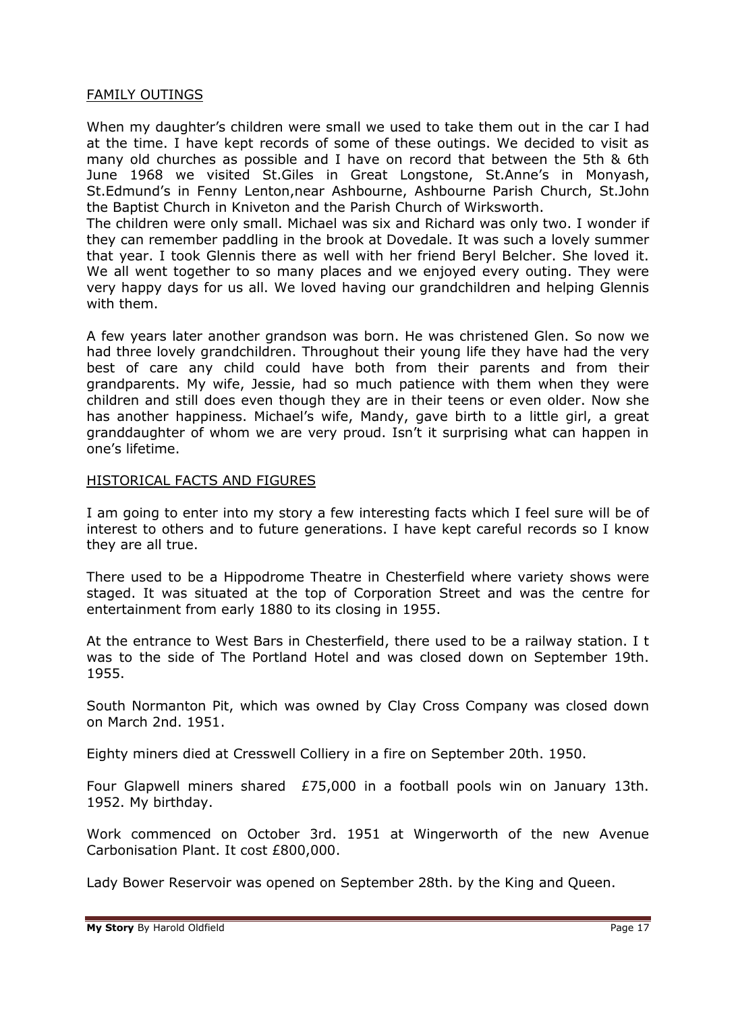### FAMILY OUTINGS

When my daughter's children were small we used to take them out in the car I had at the time. I have kept records of some of these outings. We decided to visit as many old churches as possible and I have on record that between the 5th & 6th June 1968 we visited St.Giles in Great Longstone, St.Anne's in Monyash, St.Edmund's in Fenny Lenton,near Ashbourne, Ashbourne Parish Church, St.John the Baptist Church in Kniveton and the Parish Church of Wirksworth.

The children were only small. Michael was six and Richard was only two. I wonder if they can remember paddling in the brook at Dovedale. It was such a lovely summer that year. I took Glennis there as well with her friend Beryl Belcher. She loved it. We all went together to so many places and we enjoyed every outing. They were very happy days for us all. We loved having our grandchildren and helping Glennis with them.

A few years later another grandson was born. He was christened Glen. So now we had three lovely grandchildren. Throughout their young life they have had the very best of care any child could have both from their parents and from their grandparents. My wife, Jessie, had so much patience with them when they were children and still does even though they are in their teens or even older. Now she has another happiness. Michael's wife, Mandy, gave birth to a little girl, a great granddaughter of whom we are very proud. Isn't it surprising what can happen in one's lifetime.

### HISTORICAL FACTS AND FIGURES

I am going to enter into my story a few interesting facts which I feel sure will be of interest to others and to future generations. I have kept careful records so I know they are all true.

There used to be a Hippodrome Theatre in Chesterfield where variety shows were staged. It was situated at the top of Corporation Street and was the centre for entertainment from early 1880 to its closing in 1955.

At the entrance to West Bars in Chesterfield, there used to be a railway station. I t was to the side of The Portland Hotel and was closed down on September 19th. 1955.

South Normanton Pit, which was owned by Clay Cross Company was closed down on March 2nd. 1951.

Eighty miners died at Cresswell Colliery in a fire on September 20th. 1950.

Four Glapwell miners shared £75,000 in a football pools win on January 13th. 1952. My birthday.

Work commenced on October 3rd. 1951 at Wingerworth of the new Avenue Carbonisation Plant. It cost £800,000.

Lady Bower Reservoir was opened on September 28th. by the King and Queen.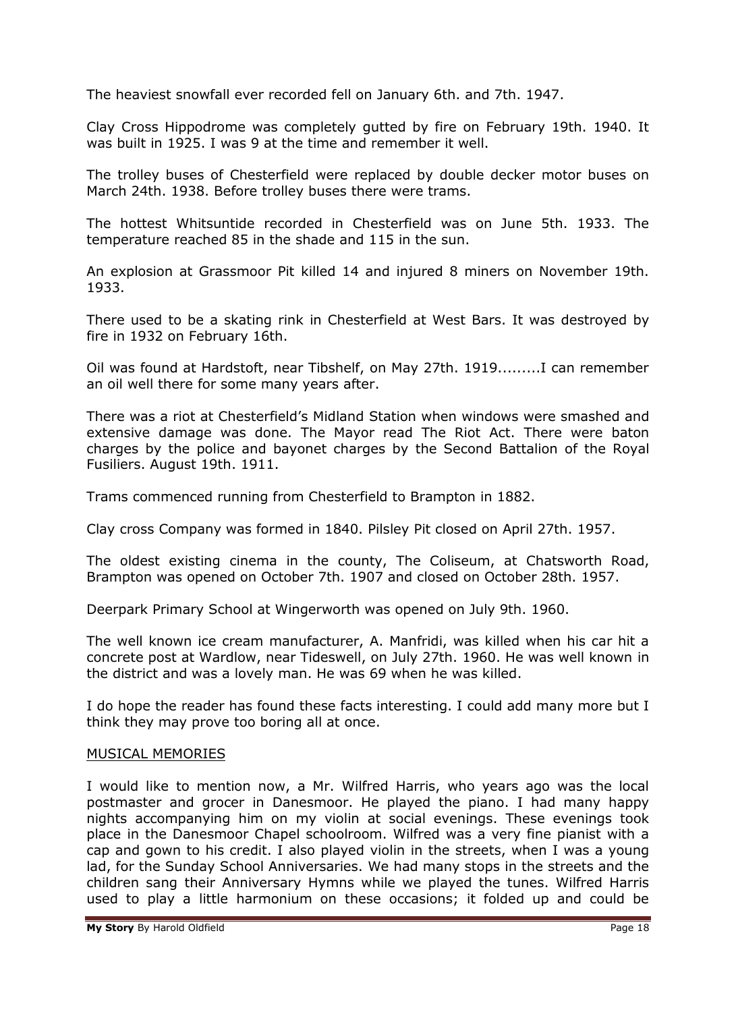The heaviest snowfall ever recorded fell on January 6th. and 7th. 1947.

Clay Cross Hippodrome was completely gutted by fire on February 19th. 1940. It was built in 1925. I was 9 at the time and remember it well.

The trolley buses of Chesterfield were replaced by double decker motor buses on March 24th. 1938. Before trolley buses there were trams.

The hottest Whitsuntide recorded in Chesterfield was on June 5th. 1933. The temperature reached 85 in the shade and 115 in the sun.

An explosion at Grassmoor Pit killed 14 and injured 8 miners on November 19th. 1933.

There used to be a skating rink in Chesterfield at West Bars. It was destroyed by fire in 1932 on February 16th.

Oil was found at Hardstoft, near Tibshelf, on May 27th. 1919.........I can remember an oil well there for some many years after.

There was a riot at Chesterfield's Midland Station when windows were smashed and extensive damage was done. The Mayor read The Riot Act. There were baton charges by the police and bayonet charges by the Second Battalion of the Royal Fusiliers. August 19th. 1911.

Trams commenced running from Chesterfield to Brampton in 1882.

Clay cross Company was formed in 1840. Pilsley Pit closed on April 27th. 1957.

The oldest existing cinema in the county, The Coliseum, at Chatsworth Road, Brampton was opened on October 7th. 1907 and closed on October 28th. 1957.

Deerpark Primary School at Wingerworth was opened on July 9th. 1960.

The well known ice cream manufacturer, A. Manfridi, was killed when his car hit a concrete post at Wardlow, near Tideswell, on July 27th. 1960. He was well known in the district and was a lovely man. He was 69 when he was killed.

I do hope the reader has found these facts interesting. I could add many more but I think they may prove too boring all at once.

### MUSICAL MEMORIES

I would like to mention now, a Mr. Wilfred Harris, who years ago was the local postmaster and grocer in Danesmoor. He played the piano. I had many happy nights accompanying him on my violin at social evenings. These evenings took place in the Danesmoor Chapel schoolroom. Wilfred was a very fine pianist with a cap and gown to his credit. I also played violin in the streets, when I was a young lad, for the Sunday School Anniversaries. We had many stops in the streets and the children sang their Anniversary Hymns while we played the tunes. Wilfred Harris used to play a little harmonium on these occasions; it folded up and could be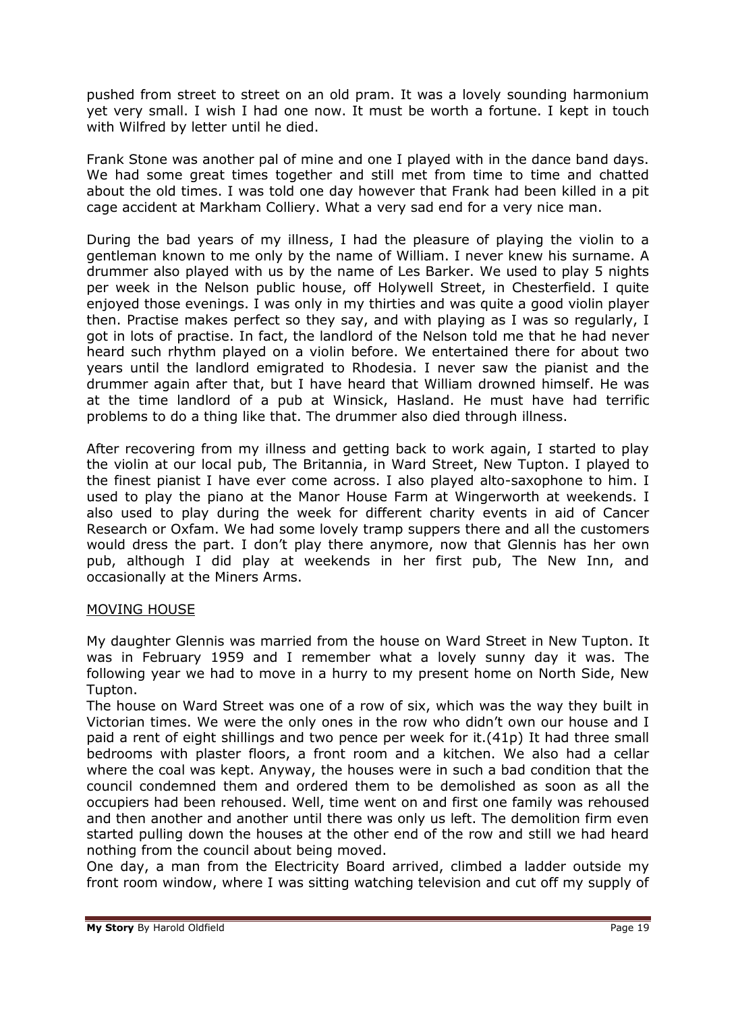pushed from street to street on an old pram. It was a lovely sounding harmonium yet very small. I wish I had one now. It must be worth a fortune. I kept in touch with Wilfred by letter until he died.

Frank Stone was another pal of mine and one I played with in the dance band days. We had some great times together and still met from time to time and chatted about the old times. I was told one day however that Frank had been killed in a pit cage accident at Markham Colliery. What a very sad end for a very nice man.

During the bad years of my illness, I had the pleasure of playing the violin to a gentleman known to me only by the name of William. I never knew his surname. A drummer also played with us by the name of Les Barker. We used to play 5 nights per week in the Nelson public house, off Holywell Street, in Chesterfield. I quite enjoyed those evenings. I was only in my thirties and was quite a good violin player then. Practise makes perfect so they say, and with playing as I was so regularly, I got in lots of practise. In fact, the landlord of the Nelson told me that he had never heard such rhythm played on a violin before. We entertained there for about two years until the landlord emigrated to Rhodesia. I never saw the pianist and the drummer again after that, but I have heard that William drowned himself. He was at the time landlord of a pub at Winsick, Hasland. He must have had terrific problems to do a thing like that. The drummer also died through illness.

After recovering from my illness and getting back to work again, I started to play the violin at our local pub, The Britannia, in Ward Street, New Tupton. I played to the finest pianist I have ever come across. I also played alto-saxophone to him. I used to play the piano at the Manor House Farm at Wingerworth at weekends. I also used to play during the week for different charity events in aid of Cancer Research or Oxfam. We had some lovely tramp suppers there and all the customers would dress the part. I don't play there anymore, now that Glennis has her own pub, although I did play at weekends in her first pub, The New Inn, and occasionally at the Miners Arms.

### MOVING HOUSE

My daughter Glennis was married from the house on Ward Street in New Tupton. It was in February 1959 and I remember what a lovely sunny day it was. The following year we had to move in a hurry to my present home on North Side, New Tupton.

The house on Ward Street was one of a row of six, which was the way they built in Victorian times. We were the only ones in the row who didn't own our house and I paid a rent of eight shillings and two pence per week for it.(41p) It had three small bedrooms with plaster floors, a front room and a kitchen. We also had a cellar where the coal was kept. Anyway, the houses were in such a bad condition that the council condemned them and ordered them to be demolished as soon as all the occupiers had been rehoused. Well, time went on and first one family was rehoused and then another and another until there was only us left. The demolition firm even started pulling down the houses at the other end of the row and still we had heard nothing from the council about being moved.

One day, a man from the Electricity Board arrived, climbed a ladder outside my front room window, where I was sitting watching television and cut off my supply of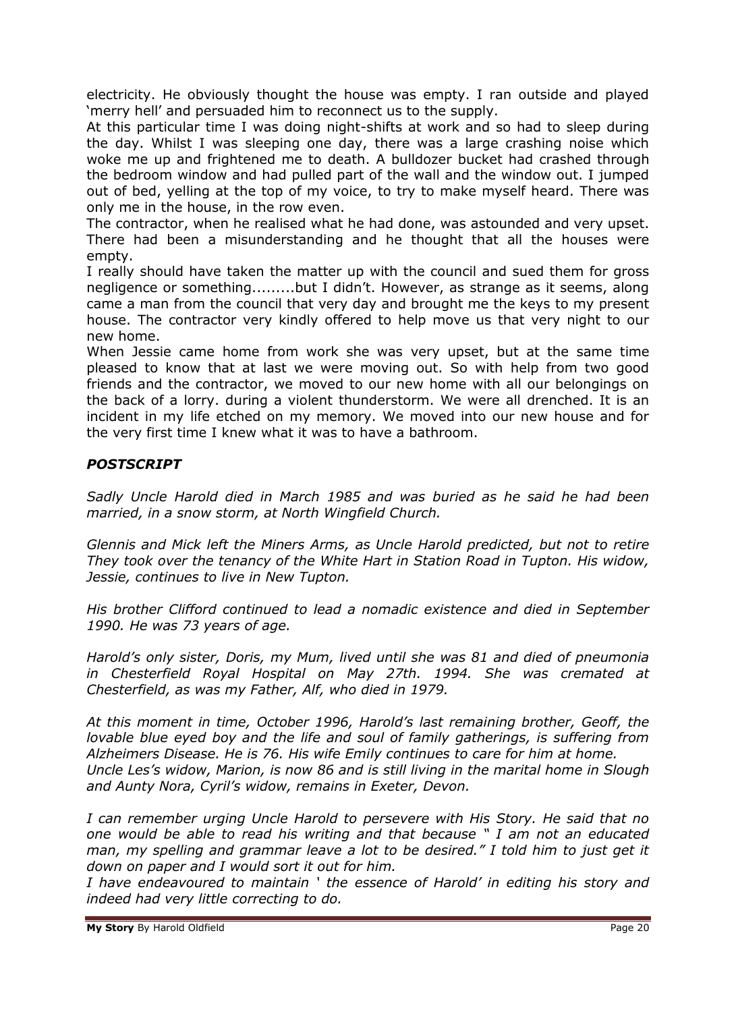electricity. He obviously thought the house was empty. I ran outside and played 'merry hell' and persuaded him to reconnect us to the supply.

At this particular time I was doing night-shifts at work and so had to sleep during the day. Whilst I was sleeping one day, there was a large crashing noise which woke me up and frightened me to death. A bulldozer bucket had crashed through the bedroom window and had pulled part of the wall and the window out. I jumped out of bed, yelling at the top of my voice, to try to make myself heard. There was only me in the house, in the row even.

The contractor, when he realised what he had done, was astounded and very upset. There had been a misunderstanding and he thought that all the houses were empty.

I really should have taken the matter up with the council and sued them for gross negligence or something.........but I didn't. However, as strange as it seems, along came a man from the council that very day and brought me the keys to my present house. The contractor very kindly offered to help move us that very night to our new home.

When Jessie came home from work she was very upset, but at the same time pleased to know that at last we were moving out. So with help from two good friends and the contractor, we moved to our new home with all our belongings on the back of a lorry. during a violent thunderstorm. We were all drenched. It is an incident in my life etched on my memory. We moved into our new house and for the very first time I knew what it was to have a bathroom.

# *POSTSCRIPT*

*Sadly Uncle Harold died in March 1985 and was buried as he said he had been married, in a snow storm, at North Wingfield Church.*

*Glennis and Mick left the Miners Arms, as Uncle Harold predicted, but not to retire They took over the tenancy of the White Hart in Station Road in Tupton. His widow, Jessie, continues to live in New Tupton.*

*His brother Clifford continued to lead a nomadic existence and died in September 1990. He was 73 years of age.*

*Harold's only sister, Doris, my Mum, lived until she was 81 and died of pneumonia in Chesterfield Royal Hospital on May 27th. 1994. She was cremated at Chesterfield, as was my Father, Alf, who died in 1979.*

*At this moment in time, October 1996, Harold's last remaining brother, Geoff, the lovable blue eyed boy and the life and soul of family gatherings, is suffering from Alzheimers Disease. He is 76. His wife Emily continues to care for him at home. Uncle Les's widow, Marion, is now 86 and is still living in the marital home in Slough and Aunty Nora, Cyril's widow, remains in Exeter, Devon.*

*I can remember urging Uncle Harold to persevere with His Story. He said that no one would be able to read his writing and that because " I am not an educated man, my spelling and grammar leave a lot to be desired." I told him to just get it down on paper and I would sort it out for him.*

*I have endeavoured to maintain ' the essence of Harold' in editing his story and indeed had very little correcting to do.*